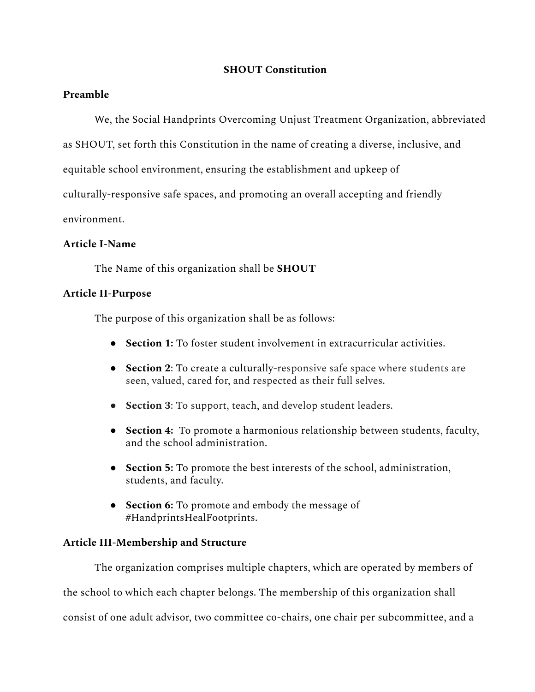### **SHOUT Constitution**

### **Preamble**

We, the Social Handprints Overcoming Unjust Treatment Organization, abbreviated

as SHOUT, set forth this Constitution in the name of creating a diverse, inclusive, and

equitable school environment, ensuring the establishment and upkeep of

culturally-responsive safe spaces, and promoting an overall accepting and friendly

environment.

### **Article I-Name**

The Name of this organization shall be **SHOUT**

# **Article II-Purpose**

The purpose of this organization shall be as follows:

- **Section 1:** To foster student involvement in extracurricular activities.
- **Section 2**: To create a culturally-responsive safe space where students are seen, valued, cared for, and respected as their full selves.
- **Section 3**: To support, teach, and develop student leaders.
- **Section 4:** To promote a harmonious relationship between students, faculty, and the school administration.
- **Section 5:** To promote the best interests of the school, administration, students, and faculty.
- **Section 6:** To promote and embody the message of #HandprintsHealFootprints.

# **Article III-Membership and Structure**

The organization comprises multiple chapters, which are operated by members of the school to which each chapter belongs. The membership of this organization shall consist of one adult advisor, two committee co-chairs, one chair per subcommittee, and a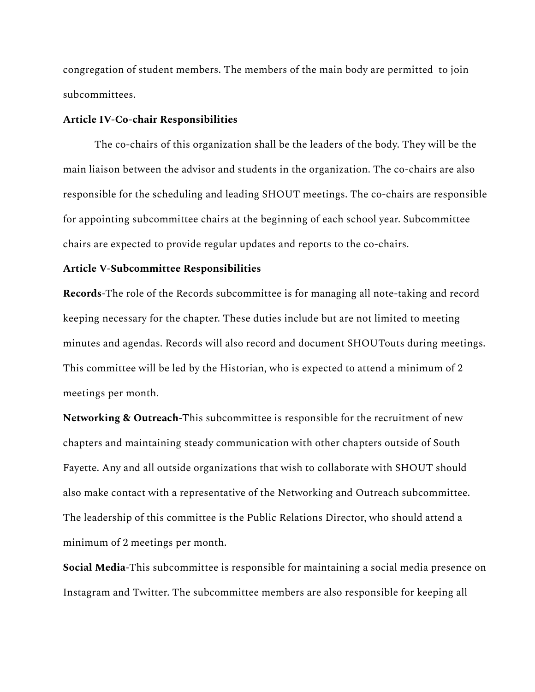congregation of student members. The members of the main body are permitted to join subcommittees.

#### **Article IV-Co-chair Responsibilities**

The co-chairs of this organization shall be the leaders of the body. They will be the main liaison between the advisor and students in the organization. The co-chairs are also responsible for the scheduling and leading SHOUT meetings. The co-chairs are responsible for appointing subcommittee chairs at the beginning of each school year. Subcommittee chairs are expected to provide regular updates and reports to the co-chairs.

#### **Article V-Subcommittee Responsibilities**

**Records**-The role of the Records subcommittee is for managing all note-taking and record keeping necessary for the chapter. These duties include but are not limited to meeting minutes and agendas. Records will also record and document SHOUTouts during meetings. This committee will be led by the Historian, who is expected to attend a minimum of 2 meetings per month.

**Networking & Outreach**-This subcommittee is responsible for the recruitment of new chapters and maintaining steady communication with other chapters outside of South Fayette. Any and all outside organizations that wish to collaborate with SHOUT should also make contact with a representative of the Networking and Outreach subcommittee. The leadership of this committee is the Public Relations Director, who should attend a minimum of 2 meetings per month.

**Social Media**-This subcommittee is responsible for maintaining a social media presence on Instagram and Twitter. The subcommittee members are also responsible for keeping all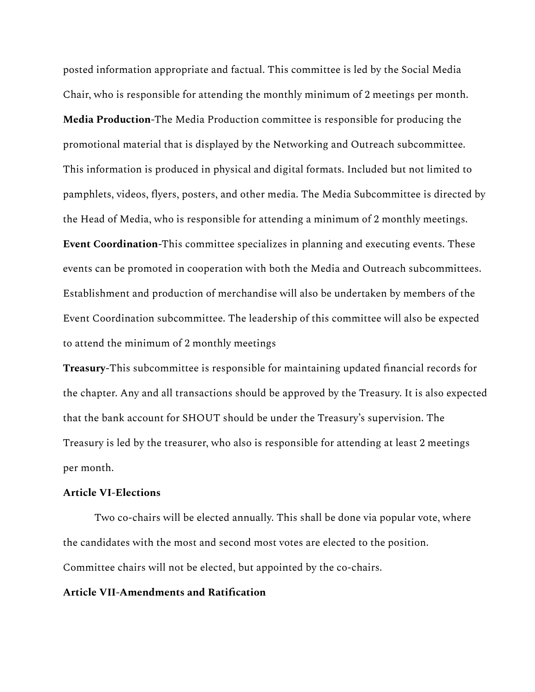posted information appropriate and factual. This committee is led by the Social Media Chair, who is responsible for attending the monthly minimum of 2 meetings per month. **Media Production**-The Media Production committee is responsible for producing the promotional material that is displayed by the Networking and Outreach subcommittee. This information is produced in physical and digital formats. Included but not limited to pamphlets, videos, flyers, posters, and other media. The Media Subcommittee is directed by the Head of Media, who is responsible for attending a minimum of 2 monthly meetings. **Event Coordination**-This committee specializes in planning and executing events. These events can be promoted in cooperation with both the Media and Outreach subcommittees. Establishment and production of merchandise will also be undertaken by members of the Event Coordination subcommittee. The leadership of this committee will also be expected to attend the minimum of 2 monthly meetings

**Treasury-**This subcommittee is responsible for maintaining updated financial records for the chapter. Any and all transactions should be approved by the Treasury. It is also expected that the bank account for SHOUT should be under the Treasury's supervision. The Treasury is led by the treasurer, who also is responsible for attending at least 2 meetings per month.

### **Article VI-Elections**

Two co-chairs will be elected annually. This shall be done via popular vote, where the candidates with the most and second most votes are elected to the position. Committee chairs will not be elected, but appointed by the co-chairs.

### **Article VII-Amendments and Ratification**